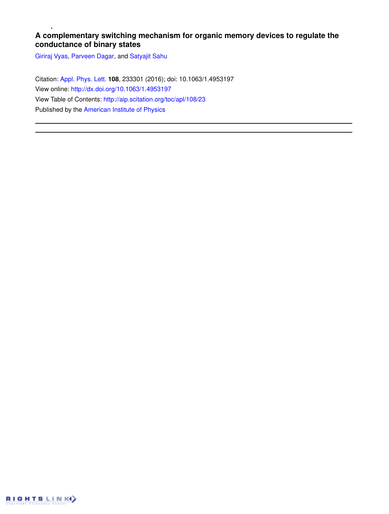## **A complementary switching mechanism for organic memory devices to regulate the conductance of binary states**

Giriraj Vyas, Parveen Dagar, and Satyajit Sahu

Citation: Appl. Phys. Lett. **108**, 233301 (2016); doi: 10.1063/1.4953197 View online: http://dx.doi.org/10.1063/1.4953197 View Table of Contents: http://aip.scitation.org/toc/apl/108/23 Published by the American Institute of Physics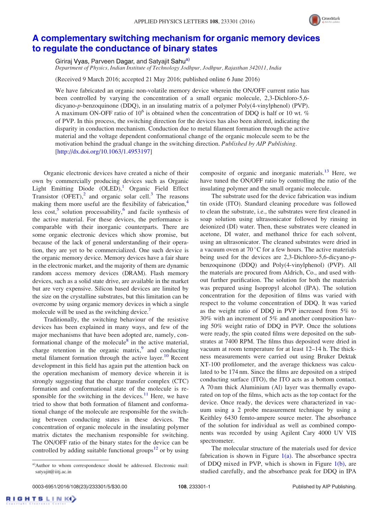

## A complementary switching mechanism for organic memory devices to regulate the conductance of binary states

Giriraj Vyas, Parveen Dagar, and Satyajit Sahu<sup>a)</sup>

Department of Physics, Indian Institute of Technology Jodhpur, Jodhpur, Rajasthan 342011, India

(Received 9 March 2016; accepted 21 May 2016; published online 6 June 2016)

We have fabricated an organic non-volatile memory device wherein the ON/OFF current ratio has been controlled by varying the concentration of a small organic molecule, 2,3-Dichloro-5,6 dicyano-p-benzoquinone (DDQ), in an insulating matrix of a polymer Poly(4-vinylphenol) (PVP). A maximum ON-OFF ratio of  $10^6$  is obtained when the concentration of DDQ is half or 10 wt. % of PVP. In this process, the switching direction for the devices has also been altered, indicating the disparity in conduction mechanism. Conduction due to metal filament formation through the active material and the voltage dependent conformational change of the organic molecule seem to be the motivation behind the gradual change in the switching direction. Published by AIP Publishing. [http://dx.doi.org/10.1063/1.4953197]

Organic electronic devices have created a niche of their own by commercially producing devices such as Organic Light Emitting Diode (OLED),<sup>1</sup> Organic Field Effect Transistor  $(OFET)$ ,<sup>2</sup> and organic solar cell.<sup>3</sup> The reasons making them more useful are the flexibility of fabrication,<sup>4</sup> less cost,<sup>5</sup> solution processability,<sup>6</sup> and facile synthesis of the active material. For these devices, the performance is comparable with their inorganic counterparts. There are some organic electronic devices which show promise, but because of the lack of general understanding of their operation, they are yet to be commercialized. One such device is the organic memory device. Memory devices have a fair share in the electronic market, and the majority of them are dynamic random access memory devices (DRAM). Flash memory devices, such as a solid state drive, are available in the market but are very expensive. Silicon based devices are limited by the size on the crystalline substrates, but this limitation can be overcome by using organic memory devices in which a single molecule will be used as the switching device.<sup>7</sup>

Traditionally, the switching behaviour of the resistive devices has been explained in many ways, and few of the major mechanisms that have been adopted are, namely, conformational change of the molecule<sup>8</sup> in the active material, charge retention in the organic matrix, $9$  and conducting metal filament formation through the active layer.<sup>10</sup> Recent development in this field has again put the attention back on the operation mechanism of memory device wherein it is strongly suggesting that the charge transfer complex (CTC) formation and conformational state of the molecule is responsible for the switching in the devices. $11$  Here, we have tried to show that both formation of filament and conformational change of the molecule are responsible for the switching between conducting states in these devices. The concentration of organic molecule in the insulating polymer matrix dictates the mechanism responsible for switching. The ON/OFF ratio of the binary states for the device can be controlled by adding suitable functional groups<sup>12</sup> or by using composite of organic and inorganic materials. $^{13}$  Here, we have tuned the ON/OFF ratio by controlling the ratio of the insulating polymer and the small organic molecule.

The substrate used for the device fabrication was indium tin oxide (ITO). Standard cleaning procedure was followed to clean the substrate, i.e., the substrates were first cleaned in soap solution using ultrasonicator followed by rinsing in deionized (DI) water. Then, these substrates were cleaned in acetone, DI water, and methanol thrice for each solvent, using an ultrasonicator. The cleaned substrates were dried in a vacuum oven at  $70^{\circ}$ C for a few hours. The active materials being used for the devices are 2,3-Dichloro-5,6-dicyano-pbenzoquinone (DDQ) and Poly(4-vinylphenol) (PVP). All the materials are procured from Aldrich, Co., and used without further purification. The solution for both the materials was prepared using Isopropyl alcohol (IPA). The solution concentration for the deposition of films was varied with respect to the volume concentration of DDQ. It was varied as the weight ratio of DDQ in PVP increased from 5% to 30% with an increment of 5% and another composition having 50% weight ratio of DDQ in PVP. Once the solutions were ready, the spin coated films were deposited on the substrates at 7400 RPM. The films thus deposited were dried in vacuum at room temperature for at least 12–14 h. The thickness measurements were carried out using Bruker Dektak XT-100 profilometer, and the average thickness was calculated to be 174 nm. Since the films are deposited on a striped conducting surface (ITO), the ITO acts as a bottom contact. A 70 nm thick Aluminium (Al) layer was thermally evaporated on top of the films, which acts as the top contact for the device. Once ready, the devices were characterized in vacuum using a 2 probe measurement technique by using a Keithley 6430 femto-ampere source meter. The absorbance of the solution for individual as well as combined components was recorded by using Agilent Cary 4000 UV VIS spectrometer.

The molecular structure of the materials used for device fabrication is shown in Figure  $1(a)$ . The absorbance spectra of DDQ mixed in PVP, which is shown in Figure  $1(b)$ , are studied carefully, and the absorbance peak for DDQ in IPA

**RIGHTSLINK** 

a)Author to whom correspondence should be addressed. Electronic mail: satyajit@iitj.ac.in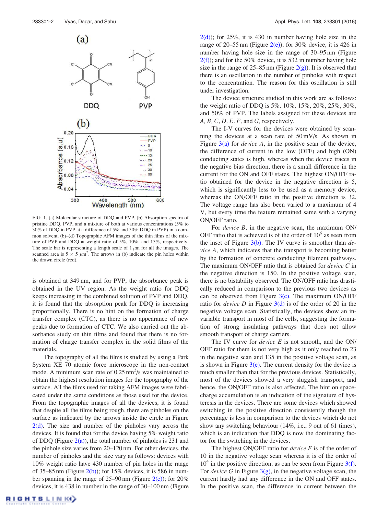

FIG. 1. (a) Molecular structure of DDQ and PVP. (b) Absorption spectra of pristine DDQ, PVP, and a mixture of both at various concentrations (5% to 30% of DDQ in PVP at a difference of 5% and 50% DDQ in PVP) in a common solvent. (b)–(d) Topographic AFM images of the thin films of the mixture of PVP and DDQ at weight ratio of 5%, 10%, and 15%, respectively. The scale bar is representing a length scale of  $1 \mu m$  for all the images. The scanned area is  $5 \times 5 \mu m^2$ . The arrows in (b) indicate the pin holes within the drawn circle (red).

is obtained at 349 nm, and for PVP, the absorbance peak is obtained in the UV region. As the weight ratio for DDQ keeps increasing in the combined solution of PVP and DDQ, it is found that the absorption peak for DDQ is increasing proportionally. There is no hint on the formation of charge transfer complex (CTC), as there is no appearance of new peaks due to formation of CTC. We also carried out the absorbance study on thin films and found that there is no formation of charge transfer complex in the solid films of the materials.

The topography of all the films is studied by using a Park System XE 70 atomic force microscope in the non-contact mode. A minimum scan rate of  $0.25 \text{ nm}^2/\text{s}$  was maintained to obtain the highest resolution images for the topography of the surface. All the films used for taking AFM images were fabricated under the same conditions as those used for the device. From the topographic images of all the devices, it is found that despite all the films being rough, there are pinholes on the surface as indicated by the arrows inside the circle in Figure  $2(d)$ . The size and number of the pinholes vary across the devices. It is found that for the device having 5% weight ratio of DDQ (Figure  $2(a)$ ), the total number of pinholes is 231 and the pinhole size varies from 20–120 nm. For other devices, the number of pinholes and the size vary as follows: devices with 10% weight ratio have 430 number of pin holes in the range of 35–85 nm (Figure  $2(b)$ ); for 15% devices, it is 586 in number spanning in the range of  $25-90 \text{ nm}$  (Figure  $2(c)$ ); for  $20\%$ devices, it is 438 in number in the range of 30–100 nm (Figure  $2(d)$ ; for 25%, it is 430 in number having hole size in the range of 20–55 nm (Figure 2(e)); for 30% device, it is 426 in number having hole size in the range of 30–95 nm (Figure  $2(f)$ ; and for the 50% device, it is 532 in number having hole size in the range of  $25-85$  nm (Figure  $2(g)$ ). It is observed that there is an oscillation in the number of pinholes with respect to the concentration. The reason for this oscillation is still under investigation.

The device structure studied in this work are as follows: the weight ratio of DDQ is 5%, 10%, 15%, 20%, 25%, 30%, and 50% of PVP. The labels assigned for these devices are  $A, B, C, D, E, F$ , and  $G$ , respectively.

The I-V curves for the devices were obtained by scanning the devices at a scan rate of 50 mV/s. As shown in Figure  $3(a)$  for *device A*, in the positive scan of the device, the difference of current in the low (OFF) and high (ON) conducting states is high, whereas when the device traces in the negative bias direction, there is a small difference in the current for the ON and OFF states. The highest ON/OFF ratio obtained for the device in the negative direction is 5, which is significantly less to be used as a memory device, whereas the ON/OFF ratio in the positive direction is 32. The voltage range has also been varied to a maximum of 4 V, but every time the feature remained same with a varying ON/OFF ratio.

For *device B*, in the negative scan, the maximum ON/ OFF ratio that is achieved is of the order of  $10^6$  as seen from the inset of Figure  $3(b)$ . The IV curve is smoother than *de*vice A, which indicates that the transport is becoming better by the formation of concrete conducting filament pathways. The maximum ON/OFF ratio that is obtained for *device* C in the negative direction is 150. In the positive voltage scan, there is no bistability observed. The ON/OFF ratio has drastically reduced in comparison to the previous two devices as can be observed from Figure  $3(c)$ . The maximum ON/OFF ratio for *device* D in Figure  $3(d)$  is of the order of 20 in the negative voltage scan. Statistically, the devices show an invariable transport in most of the cells, suggesting the formation of strong insulating pathways that does not allow smooth transport of charge carriers.

The IV curve for *device* E is not smooth, and the ON/ OFF ratio for them is not very high as it only reached to 23 in the negative scan and 135 in the positive voltage scan, as is shown in Figure  $3(e)$ . The current density for the device is much smaller than that for the previous devices. Statistically, most of the devices showed a very sluggish transport, and hence, the ON/OFF ratio is also affected. The hint on spacecharge accumulation is an indication of the signature of hysteresis in the devices. There are some devices which showed switching in the positive direction consistently though the percentage is less in comparison to the devices which do not show any switching behaviour (14%, i.e., 9 out of 61 times), which is an indication that DDQ is now the dominating factor for the switching in the devices.

The highest ON/OFF ratio for *device*  $F$  is of the order of 10 in the negative voltage scan whereas it is of the order of  $10<sup>4</sup>$  in the positive direction, as can be seen from Figure 3(f). For *device* G in Figure  $3(g)$ , in the negative voltage scan, the current hardly had any difference in the ON and OFF states. In the positive scan, the difference in current between the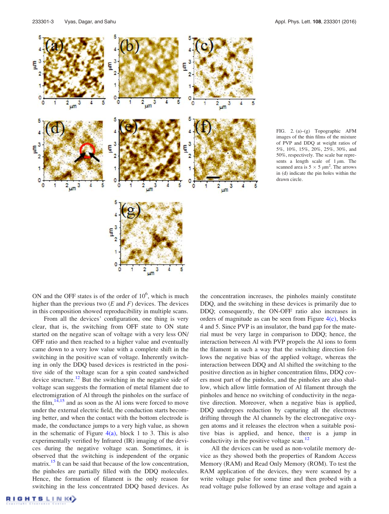

FIG. 2. (a)–(g) Topographic AFM images of the thin films of the mixture of PVP and DDQ at weight ratios of 5%, 10%, 15%, 20%, 25%, 30%, and 50%, respectively. The scale bar represents a length scale of  $1 \mu m$ . The scanned area is  $5 \times 5 \mu m^2$ . The arrows in (d) indicate the pin holes within the drawn circle.

ON and the OFF states is of the order of  $10<sup>6</sup>$ , which is much higher than the previous two  $(E \text{ and } F)$  devices. The devices in this composition showed reproducibility in multiple scans.

From all the devices' configuration, one thing is very clear, that is, the switching from OFF state to ON state started on the negative scan of voltage with a very less ON/ OFF ratio and then reached to a higher value and eventually came down to a very low value with a complete shift in the switching in the positive scan of voltage. Inherently switching in only the DDQ based devices is restricted in the positive side of the voltage scan for a spin coated sandwiched device structure.<sup>12</sup> But the switching in the negative side of voltage scan suggests the formation of metal filament due to electromigration of Al through the pinholes on the surface of the film,  $14,15$  and as soon as the Al ions were forced to move under the external electric field, the conduction starts becoming better, and when the contact with the bottom electrode is made, the conductance jumps to a very high value, as shown in the schematic of Figure  $4(a)$ , block 1 to 3. This is also experimentally verified by Infrared (IR) imaging of the devices during the negative voltage scan. Sometimes, it is observed that the switching is independent of the organic matrix.<sup>15</sup> It can be said that because of the low concentration, the pinholes are partially filled with the DDQ molecules. Hence, the formation of filament is the only reason for switching in the less concentrated DDQ based devices. As the concentration increases, the pinholes mainly constitute DDQ, and the switching in these devices is primarily due to DDQ; consequently, the ON-OFF ratio also increases in orders of magnitude as can be seen from Figure  $4(c)$ , blocks 4 and 5. Since PVP is an insulator, the band gap for the material must be very large in comparison to DDQ; hence, the interaction between Al with PVP propels the Al ions to form the filament in such a way that the switching direction follows the negative bias of the applied voltage, whereas the interaction between DDQ and Al shifted the switching to the positive direction as in higher concentration films, DDQ covers most part of the pinholes, and the pinholes are also shallow, which allow little formation of Al filament through the pinholes and hence no switching of conductivity in the negative direction. Moreover, when a negative bias is applied, DDQ undergoes reduction by capturing all the electrons drifting through the Al channels by the electronegative oxygen atoms and it releases the electron when a suitable positive bias is applied, and hence, there is a jump in conductivity in the positive voltage scan.<sup>12</sup>

All the devices can be used as non-volatile memory device as they showed both the properties of Random Access Memory (RAM) and Read Only Memory (ROM). To test the RAM application of the devices, they were scanned by a write voltage pulse for some time and then probed with a read voltage pulse followed by an erase voltage and again a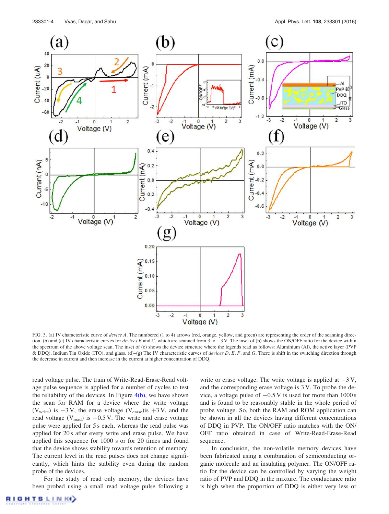

FIG. 3. (a) IV characteristic curve of device A. The numbered (1 to 4) arrows (red, orange, yellow, and green) are representing the order of the scanning direction. (b) and (c) IV characteristic curves for *devices B* and C, which are scanned from 3 to  $-3$  V. The inset of (b) shows the ON/OFF ratio for the device within the spectrum of the above voltage scan. The inset of (c) shows the device structure where the legends read as follows: Aluminium (Al), the active layer (PVP & DDQ), Indium Tin Oxide (ITO), and glass. (d)–(g) The IV characteristic curves of devices D, E, F, and G. There is shift in the switching direction through the decrease in current and then increase in the current at higher concentration of DDQ.

read voltage pulse. The train of Write-Read-Erase-Read voltage pulse sequence is applied for a number of cycles to test the reliability of the devices. In Figure  $4(b)$ , we have shown the scan for RAM for a device where the write voltage (V<sub>write</sub>) is  $-3$  V, the erase voltage (V<sub>erase</sub>)is  $+3$  V, and the read voltage ( $V_{\text{read}}$ ) is  $-0.5$  V. The write and erase voltage pulse were applied for 5 s each, whereas the read pulse was applied for 20 s after every write and erase pulse. We have applied this sequence for 1000 s or for 20 times and found that the device shows stability towards retention of memory. The current level in the read pulses does not change significantly, which hints the stability even during the random probe of the devices.

For the study of read only memory, the devices have been probed using a small read voltage pulse following a write or erase voltage. The write voltage is applied at  $-3$  V, and the corresponding erase voltage is 3 V. To probe the device, a voltage pulse of  $-0.5$  V is used for more than 1000 s and is found to be reasonably stable in the whole period of probe voltage. So, both the RAM and ROM application can be shown in all the devices having different concentrations of DDQ in PVP. The ON/OFF ratio matches with the ON/ OFF ratio obtained in case of Write-Read-Erase-Read sequence.

In conclusion, the non-volatile memory devices have been fabricated using a combination of semiconducting organic molecule and an insulating polymer. The ON/OFF ratio for the device can be controlled by varying the weight ratio of PVP and DDQ in the mixture. The conductance ratio is high when the proportion of DDQ is either very less or